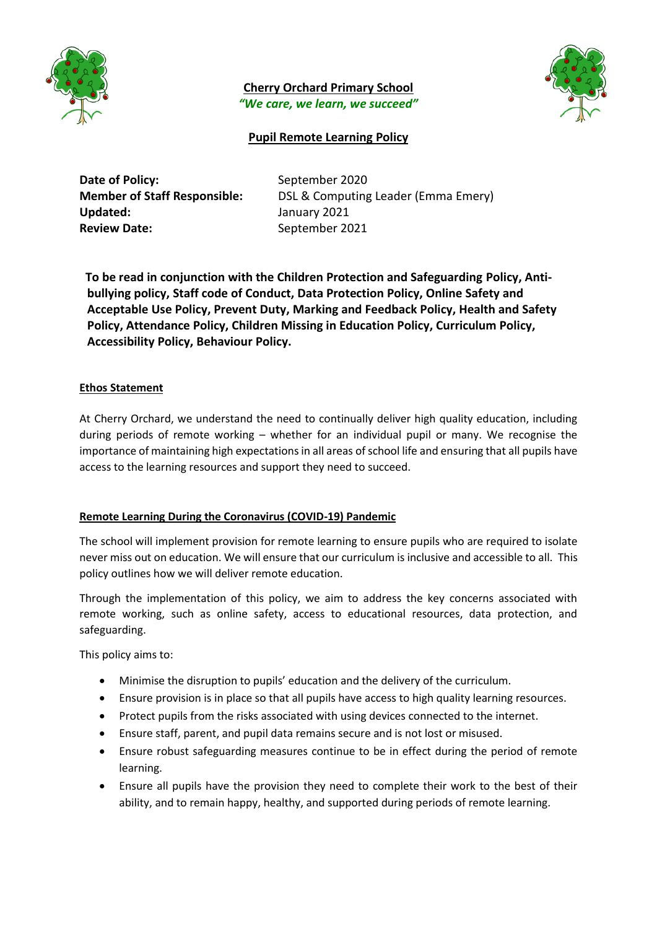

**Cherry Orchard Primary School** *"We care, we learn, we succeed"*



# **Pupil Remote Learning Policy**

| Date of Policy:                     |
|-------------------------------------|
| <b>Member of Staff Responsible:</b> |
| <b>Updated:</b>                     |
| <b>Review Date:</b>                 |

September 2020 **DSL & Computing Leader (Emma Emery) Updated:** January 2021 **Review Date:** September 2021

 **To be read in conjunction with the Children Protection and Safeguarding Policy, Antibullying policy, Staff code of Conduct, Data Protection Policy, Online Safety and Acceptable Use Policy, Prevent Duty, Marking and Feedback Policy, Health and Safety Policy, Attendance Policy, Children Missing in Education Policy, Curriculum Policy, Accessibility Policy, Behaviour Policy.**

## **Ethos Statement**

At Cherry Orchard, we understand the need to continually deliver high quality education, including during periods of remote working – whether for an individual pupil or many. We recognise the importance of maintaining high expectations in all areas of school life and ensuring that all pupils have access to the learning resources and support they need to succeed.

### **Remote Learning During the Coronavirus (COVID-19) Pandemic**

The school will implement provision for remote learning to ensure pupils who are required to isolate never miss out on education. We will ensure that our curriculum is inclusive and accessible to all. This policy outlines how we will deliver remote education.

Through the implementation of this policy, we aim to address the key concerns associated with remote working, such as online safety, access to educational resources, data protection, and safeguarding.

This policy aims to:

- Minimise the disruption to pupils' education and the delivery of the curriculum.
- Ensure provision is in place so that all pupils have access to high quality learning resources.
- Protect pupils from the risks associated with using devices connected to the internet.
- Ensure staff, parent, and pupil data remains secure and is not lost or misused.
- Ensure robust safeguarding measures continue to be in effect during the period of remote learning.
- Ensure all pupils have the provision they need to complete their work to the best of their ability, and to remain happy, healthy, and supported during periods of remote learning.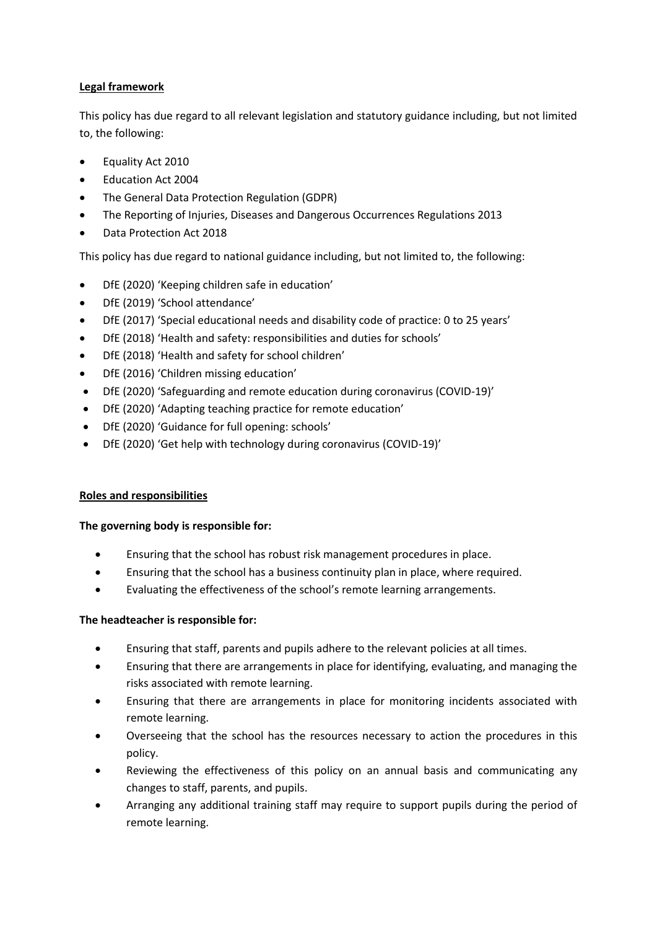# **Legal framework**

This policy has due regard to all relevant legislation and statutory guidance including, but not limited to, the following:

- Equality Act 2010
- Education Act 2004
- The General Data Protection Regulation (GDPR)
- The Reporting of Injuries, Diseases and Dangerous Occurrences Regulations 2013
- Data Protection Act 2018

This policy has due regard to national guidance including, but not limited to, the following:

- DfE (2020) 'Keeping children safe in education'
- DfE (2019) 'School attendance'
- DfE (2017) 'Special educational needs and disability code of practice: 0 to 25 years'
- DfE (2018) 'Health and safety: responsibilities and duties for schools'
- DfE (2018) 'Health and safety for school children'
- DfE (2016) 'Children missing education'
- DfE (2020) 'Safeguarding and remote education during coronavirus (COVID-19)'
- DfE (2020) 'Adapting teaching practice for remote education'
- DfE (2020) 'Guidance for full opening: schools'
- DfE (2020) 'Get help with technology during coronavirus (COVID-19)'

### **Roles and responsibilities**

### **The governing body is responsible for:**

- Ensuring that the school has robust risk management procedures in place.
- Ensuring that the school has a business continuity plan in place, where required.
- Evaluating the effectiveness of the school's remote learning arrangements.

### **The headteacher is responsible for:**

- Ensuring that staff, parents and pupils adhere to the relevant policies at all times.
- Ensuring that there are arrangements in place for identifying, evaluating, and managing the risks associated with remote learning.
- Ensuring that there are arrangements in place for monitoring incidents associated with remote learning.
- Overseeing that the school has the resources necessary to action the procedures in this policy.
- Reviewing the effectiveness of this policy on an annual basis and communicating any changes to staff, parents, and pupils.
- Arranging any additional training staff may require to support pupils during the period of remote learning.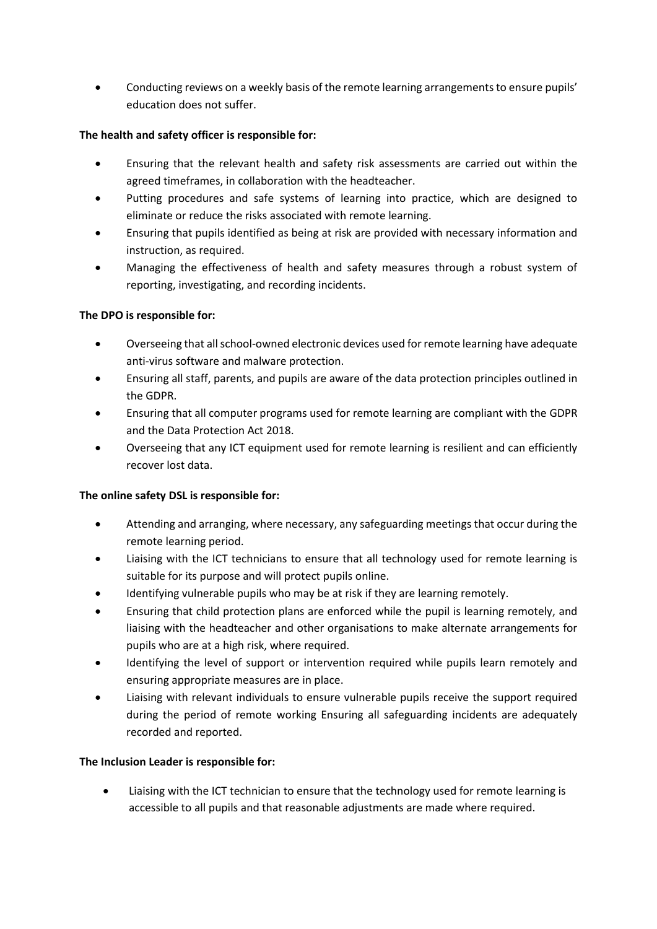Conducting reviews on a weekly basis of the remote learning arrangements to ensure pupils' education does not suffer.

# **The health and safety officer is responsible for:**

- Ensuring that the relevant health and safety risk assessments are carried out within the agreed timeframes, in collaboration with the headteacher.
- Putting procedures and safe systems of learning into practice, which are designed to eliminate or reduce the risks associated with remote learning.
- Ensuring that pupils identified as being at risk are provided with necessary information and instruction, as required.
- Managing the effectiveness of health and safety measures through a robust system of reporting, investigating, and recording incidents.

# **The DPO is responsible for:**

- Overseeing that all school-owned electronic devices used for remote learning have adequate anti-virus software and malware protection.
- Ensuring all staff, parents, and pupils are aware of the data protection principles outlined in the GDPR.
- Ensuring that all computer programs used for remote learning are compliant with the GDPR and the Data Protection Act 2018.
- Overseeing that any ICT equipment used for remote learning is resilient and can efficiently recover lost data.

# **The online safety DSL is responsible for:**

- Attending and arranging, where necessary, any safeguarding meetings that occur during the remote learning period.
- Liaising with the ICT technicians to ensure that all technology used for remote learning is suitable for its purpose and will protect pupils online.
- Identifying vulnerable pupils who may be at risk if they are learning remotely.
- Ensuring that child protection plans are enforced while the pupil is learning remotely, and liaising with the headteacher and other organisations to make alternate arrangements for pupils who are at a high risk, where required.
- Identifying the level of support or intervention required while pupils learn remotely and ensuring appropriate measures are in place.
- Liaising with relevant individuals to ensure vulnerable pupils receive the support required during the period of remote working Ensuring all safeguarding incidents are adequately recorded and reported.

# **The Inclusion Leader is responsible for:**

 Liaising with the ICT technician to ensure that the technology used for remote learning is accessible to all pupils and that reasonable adjustments are made where required.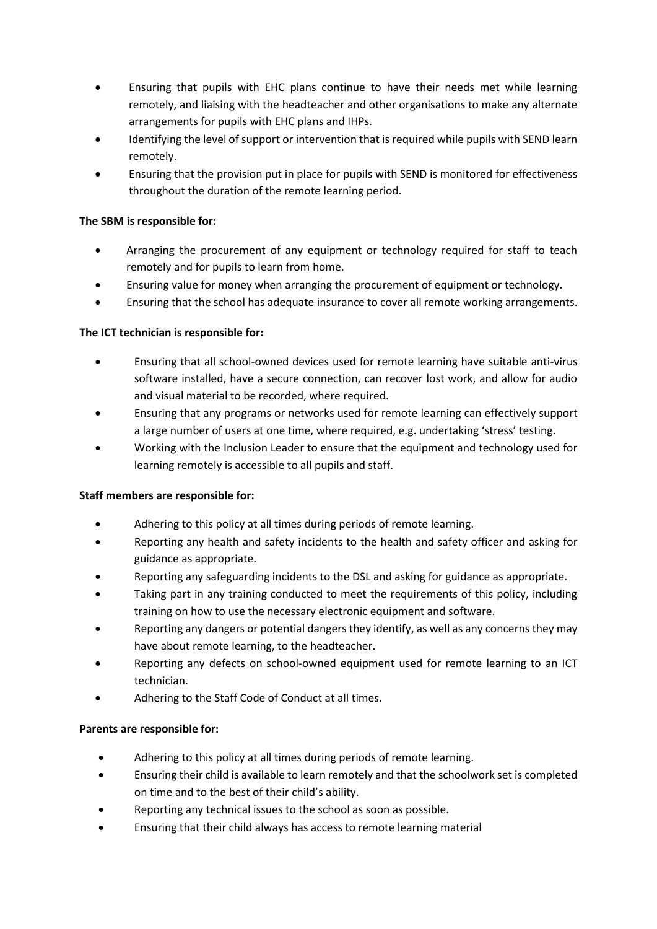- Ensuring that pupils with EHC plans continue to have their needs met while learning remotely, and liaising with the headteacher and other organisations to make any alternate arrangements for pupils with EHC plans and IHPs.
- Identifying the level of support or intervention that is required while pupils with SEND learn remotely.
- Ensuring that the provision put in place for pupils with SEND is monitored for effectiveness throughout the duration of the remote learning period.

# **The SBM is responsible for:**

- Arranging the procurement of any equipment or technology required for staff to teach remotely and for pupils to learn from home.
- Ensuring value for money when arranging the procurement of equipment or technology.
- Ensuring that the school has adequate insurance to cover all remote working arrangements.

# **The ICT technician is responsible for:**

- Ensuring that all school-owned devices used for remote learning have suitable anti-virus software installed, have a secure connection, can recover lost work, and allow for audio and visual material to be recorded, where required.
- Ensuring that any programs or networks used for remote learning can effectively support a large number of users at one time, where required, e.g. undertaking 'stress' testing.
- Working with the Inclusion Leader to ensure that the equipment and technology used for learning remotely is accessible to all pupils and staff.

# **Staff members are responsible for:**

- Adhering to this policy at all times during periods of remote learning.
- Reporting any health and safety incidents to the health and safety officer and asking for guidance as appropriate.
- Reporting any safeguarding incidents to the DSL and asking for guidance as appropriate.
- Taking part in any training conducted to meet the requirements of this policy, including training on how to use the necessary electronic equipment and software.
- Reporting any dangers or potential dangers they identify, as well as any concerns they may have about remote learning, to the headteacher.
- Reporting any defects on school-owned equipment used for remote learning to an ICT technician.
- Adhering to the Staff Code of Conduct at all times.

# **Parents are responsible for:**

- Adhering to this policy at all times during periods of remote learning.
- Ensuring their child is available to learn remotely and that the schoolwork set is completed on time and to the best of their child's ability.
- Reporting any technical issues to the school as soon as possible.
- Ensuring that their child always has access to remote learning material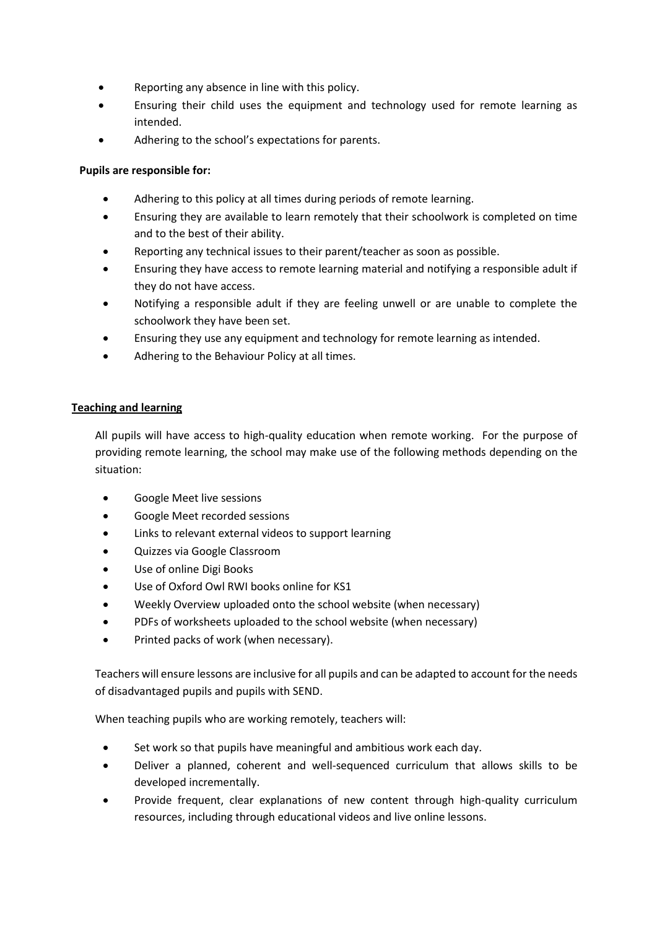- Reporting any absence in line with this policy.
- Ensuring their child uses the equipment and technology used for remote learning as intended.
- Adhering to the school's expectations for parents.

# **Pupils are responsible for:**

- Adhering to this policy at all times during periods of remote learning.
- Ensuring they are available to learn remotely that their schoolwork is completed on time and to the best of their ability.
- Reporting any technical issues to their parent/teacher as soon as possible.
- Ensuring they have access to remote learning material and notifying a responsible adult if they do not have access.
- Notifying a responsible adult if they are feeling unwell or are unable to complete the schoolwork they have been set.
- Ensuring they use any equipment and technology for remote learning as intended.
- Adhering to the Behaviour Policy at all times.

## **Teaching and learning**

All pupils will have access to high-quality education when remote working. For the purpose of providing remote learning, the school may make use of the following methods depending on the situation:

- Google Meet live sessions
- Google Meet recorded sessions
- Links to relevant external videos to support learning
- Quizzes via Google Classroom
- Use of online Digi Books
- Use of Oxford Owl RWI books online for KS1
- Weekly Overview uploaded onto the school website (when necessary)
- PDFs of worksheets uploaded to the school website (when necessary)
- Printed packs of work (when necessary).

Teachers will ensure lessons are inclusive for all pupils and can be adapted to account for the needs of disadvantaged pupils and pupils with SEND.

When teaching pupils who are working remotely, teachers will:

- Set work so that pupils have meaningful and ambitious work each day.
- Deliver a planned, coherent and well-sequenced curriculum that allows skills to be developed incrementally.
- Provide frequent, clear explanations of new content through high-quality curriculum resources, including through educational videos and live online lessons.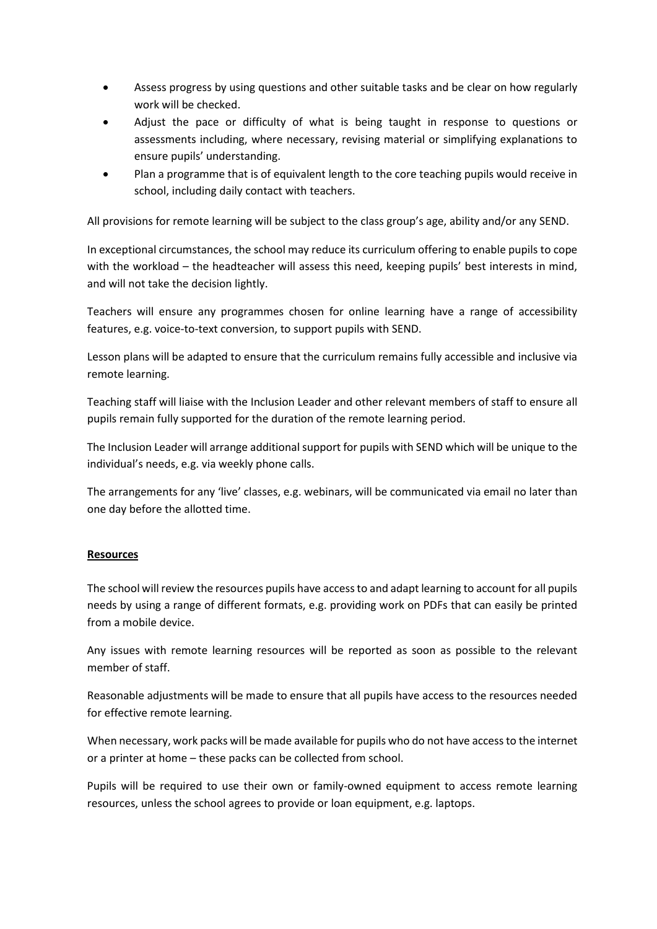- Assess progress by using questions and other suitable tasks and be clear on how regularly work will be checked.
- Adjust the pace or difficulty of what is being taught in response to questions or assessments including, where necessary, revising material or simplifying explanations to ensure pupils' understanding.
- Plan a programme that is of equivalent length to the core teaching pupils would receive in school, including daily contact with teachers.

All provisions for remote learning will be subject to the class group's age, ability and/or any SEND.

In exceptional circumstances, the school may reduce its curriculum offering to enable pupils to cope with the workload – the headteacher will assess this need, keeping pupils' best interests in mind, and will not take the decision lightly.

Teachers will ensure any programmes chosen for online learning have a range of accessibility features, e.g. voice-to-text conversion, to support pupils with SEND.

Lesson plans will be adapted to ensure that the curriculum remains fully accessible and inclusive via remote learning.

Teaching staff will liaise with the Inclusion Leader and other relevant members of staff to ensure all pupils remain fully supported for the duration of the remote learning period.

The Inclusion Leader will arrange additional support for pupils with SEND which will be unique to the individual's needs, e.g. via weekly phone calls.

The arrangements for any 'live' classes, e.g. webinars, will be communicated via email no later than one day before the allotted time.

# **Resources**

The school will review the resources pupils have access to and adapt learning to account for all pupils needs by using a range of different formats, e.g. providing work on PDFs that can easily be printed from a mobile device.

Any issues with remote learning resources will be reported as soon as possible to the relevant member of staff.

Reasonable adjustments will be made to ensure that all pupils have access to the resources needed for effective remote learning.

When necessary, work packs will be made available for pupils who do not have access to the internet or a printer at home – these packs can be collected from school.

Pupils will be required to use their own or family-owned equipment to access remote learning resources, unless the school agrees to provide or loan equipment, e.g. laptops.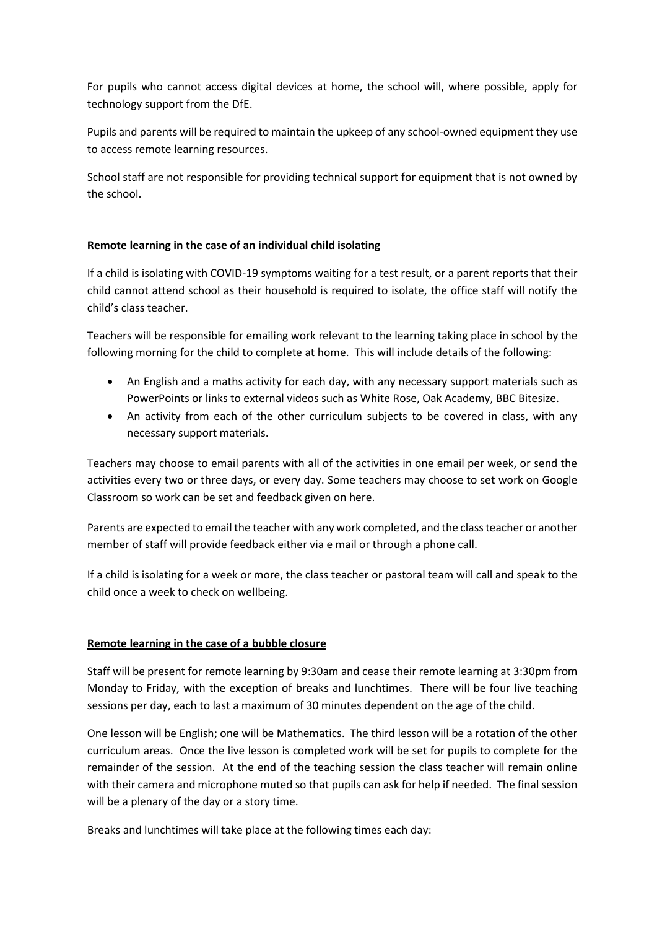For pupils who cannot access digital devices at home, the school will, where possible, apply for technology support from the DfE.

Pupils and parents will be required to maintain the upkeep of any school-owned equipment they use to access remote learning resources.

School staff are not responsible for providing technical support for equipment that is not owned by the school.

# **Remote learning in the case of an individual child isolating**

If a child is isolating with COVID-19 symptoms waiting for a test result, or a parent reports that their child cannot attend school as their household is required to isolate, the office staff will notify the child's class teacher.

Teachers will be responsible for emailing work relevant to the learning taking place in school by the following morning for the child to complete at home. This will include details of the following:

- An English and a maths activity for each day, with any necessary support materials such as PowerPoints or links to external videos such as White Rose, Oak Academy, BBC Bitesize.
- An activity from each of the other curriculum subjects to be covered in class, with any necessary support materials.

Teachers may choose to email parents with all of the activities in one email per week, or send the activities every two or three days, or every day. Some teachers may choose to set work on Google Classroom so work can be set and feedback given on here.

Parents are expected to email the teacher with any work completed, and the class teacher or another member of staff will provide feedback either via e mail or through a phone call.

If a child is isolating for a week or more, the class teacher or pastoral team will call and speak to the child once a week to check on wellbeing.

# **Remote learning in the case of a bubble closure**

Staff will be present for remote learning by 9:30am and cease their remote learning at 3:30pm from Monday to Friday, with the exception of breaks and lunchtimes. There will be four live teaching sessions per day, each to last a maximum of 30 minutes dependent on the age of the child.

One lesson will be English; one will be Mathematics. The third lesson will be a rotation of the other curriculum areas. Once the live lesson is completed work will be set for pupils to complete for the remainder of the session. At the end of the teaching session the class teacher will remain online with their camera and microphone muted so that pupils can ask for help if needed. The final session will be a plenary of the day or a story time.

Breaks and lunchtimes will take place at the following times each day: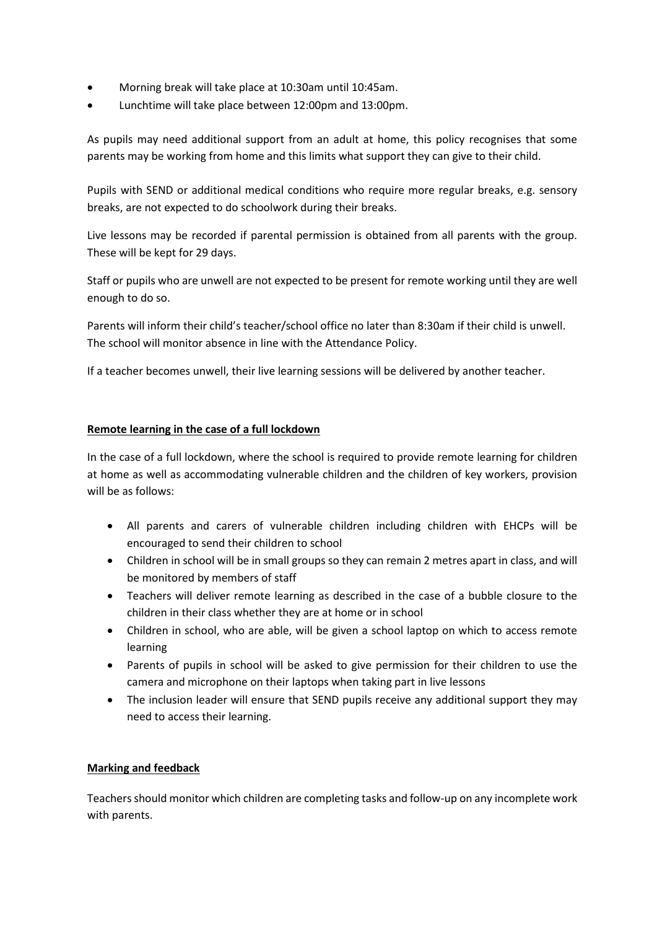- Morning break will take place at 10:30am until 10:45am.
- Lunchtime will take place between 12:00pm and 13:00pm.

As pupils may need additional support from an adult at home, this policy recognises that some parents may be working from home and this limits what support they can give to their child.

Pupils with SEND or additional medical conditions who require more regular breaks, e.g. sensory breaks, are not expected to do schoolwork during their breaks.

Live lessons may be recorded if parental permission is obtained from all parents with the group. These will be kept for 29 days.

Staff or pupils who are unwell are not expected to be present for remote working until they are well enough to do so.

Parents will inform their child's teacher/school office no later than 8:30am if their child is unwell. The school will monitor absence in line with the Attendance Policy.

If a teacher becomes unwell, their live learning sessions will be delivered by another teacher.

# **Remote learning in the case of a full lockdown**

In the case of a full lockdown, where the school is required to provide remote learning for children at home as well as accommodating vulnerable children and the children of key workers, provision will be as follows:

- All parents and carers of vulnerable children including children with EHCPs will be encouraged to send their children to school
- Children in school will be in small groups so they can remain 2 metres apart in class, and will be monitored by members of staff
- Teachers will deliver remote learning as described in the case of a bubble closure to the children in their class whether they are at home or in school
- Children in school, who are able, will be given a school laptop on which to access remote learning
- Parents of pupils in school will be asked to give permission for their children to use the camera and microphone on their laptops when taking part in live lessons
- The inclusion leader will ensure that SEND pupils receive any additional support they may need to access their learning.

# **Marking and feedback**

Teachers should monitor which children are completing tasks and follow-up on any incomplete work with parents.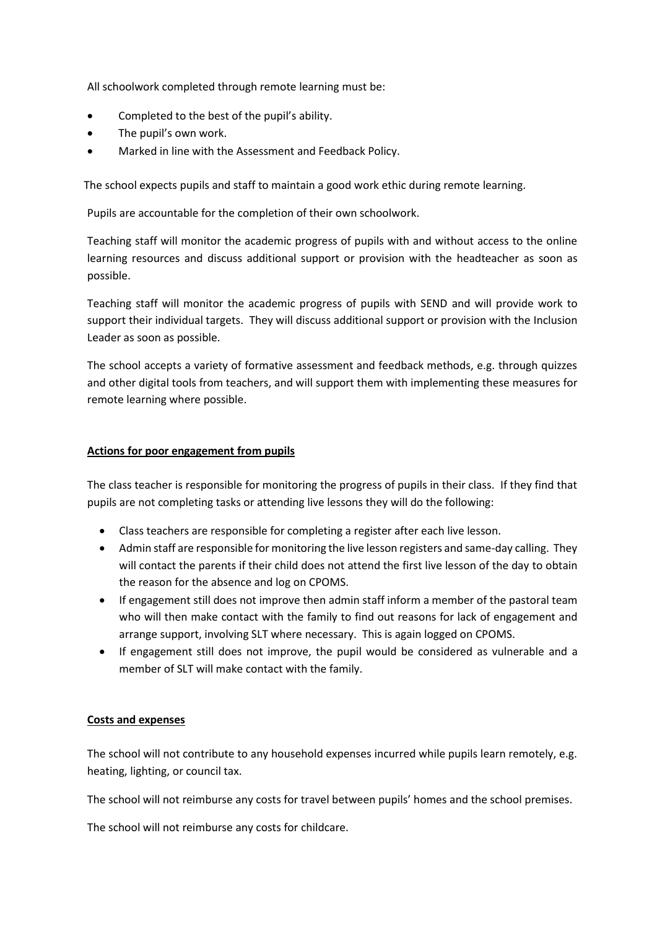All schoolwork completed through remote learning must be:

- Completed to the best of the pupil's ability.
- The pupil's own work.
- Marked in line with the Assessment and Feedback Policy.

The school expects pupils and staff to maintain a good work ethic during remote learning.

Pupils are accountable for the completion of their own schoolwork.

Teaching staff will monitor the academic progress of pupils with and without access to the online learning resources and discuss additional support or provision with the headteacher as soon as possible.

Teaching staff will monitor the academic progress of pupils with SEND and will provide work to support their individual targets. They will discuss additional support or provision with the Inclusion Leader as soon as possible.

The school accepts a variety of formative assessment and feedback methods, e.g. through quizzes and other digital tools from teachers, and will support them with implementing these measures for remote learning where possible.

## **Actions for poor engagement from pupils**

The class teacher is responsible for monitoring the progress of pupils in their class. If they find that pupils are not completing tasks or attending live lessons they will do the following:

- Class teachers are responsible for completing a register after each live lesson.
- Admin staff are responsible for monitoring the live lesson registers and same-day calling. They will contact the parents if their child does not attend the first live lesson of the day to obtain the reason for the absence and log on CPOMS.
- If engagement still does not improve then admin staff inform a member of the pastoral team who will then make contact with the family to find out reasons for lack of engagement and arrange support, involving SLT where necessary. This is again logged on CPOMS.
- If engagement still does not improve, the pupil would be considered as vulnerable and a member of SLT will make contact with the family.

### **Costs and expenses**

The school will not contribute to any household expenses incurred while pupils learn remotely, e.g. heating, lighting, or council tax.

The school will not reimburse any costs for travel between pupils' homes and the school premises.

The school will not reimburse any costs for childcare.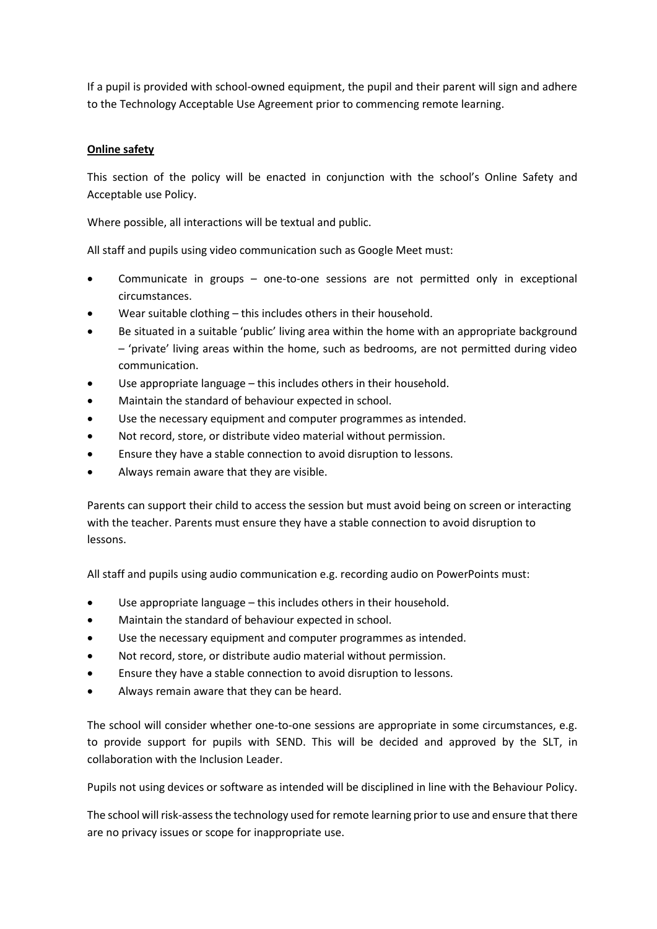If a pupil is provided with school-owned equipment, the pupil and their parent will sign and adhere to the Technology Acceptable Use Agreement prior to commencing remote learning.

## **Online safety**

This section of the policy will be enacted in conjunction with the school's Online Safety and Acceptable use Policy.

Where possible, all interactions will be textual and public.

All staff and pupils using video communication such as Google Meet must:

- Communicate in groups one-to-one sessions are not permitted only in exceptional circumstances.
- Wear suitable clothing this includes others in their household.
- Be situated in a suitable 'public' living area within the home with an appropriate background – 'private' living areas within the home, such as bedrooms, are not permitted during video communication.
- Use appropriate language this includes others in their household.
- Maintain the standard of behaviour expected in school.
- Use the necessary equipment and computer programmes as intended.
- Not record, store, or distribute video material without permission.
- Ensure they have a stable connection to avoid disruption to lessons.
- Always remain aware that they are visible.

Parents can support their child to access the session but must avoid being on screen or interacting with the teacher. Parents must ensure they have a stable connection to avoid disruption to lessons.

All staff and pupils using audio communication e.g. recording audio on PowerPoints must:

- Use appropriate language this includes others in their household.
- Maintain the standard of behaviour expected in school.
- Use the necessary equipment and computer programmes as intended.
- Not record, store, or distribute audio material without permission.
- Ensure they have a stable connection to avoid disruption to lessons.
- Always remain aware that they can be heard.

The school will consider whether one-to-one sessions are appropriate in some circumstances, e.g. to provide support for pupils with SEND. This will be decided and approved by the SLT, in collaboration with the Inclusion Leader.

Pupils not using devices or software as intended will be disciplined in line with the Behaviour Policy.

The school will risk-assess the technology used for remote learning prior to use and ensure that there are no privacy issues or scope for inappropriate use.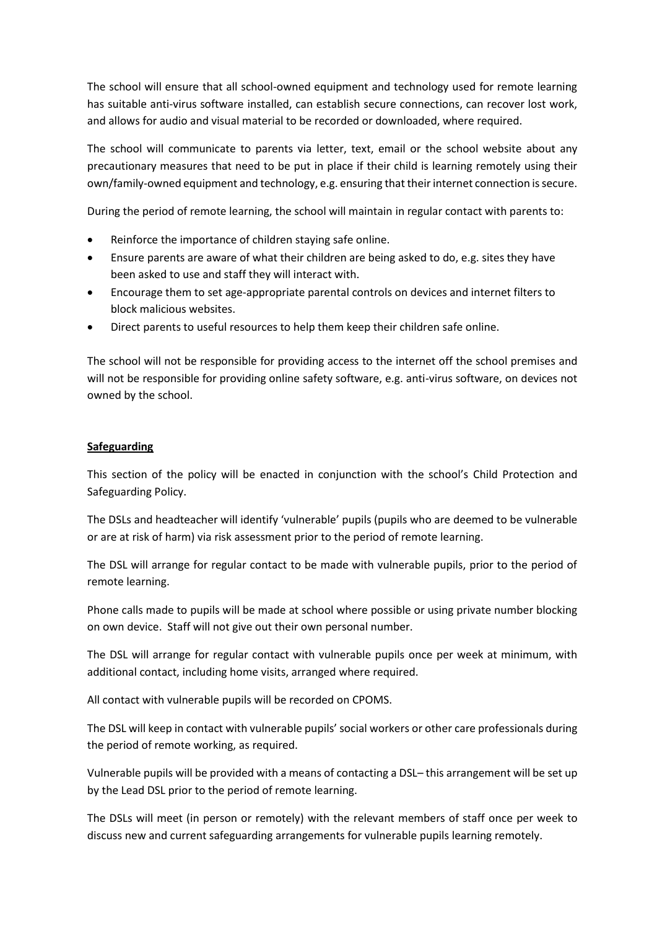The school will ensure that all school-owned equipment and technology used for remote learning has suitable anti-virus software installed, can establish secure connections, can recover lost work, and allows for audio and visual material to be recorded or downloaded, where required.

The school will communicate to parents via letter, text, email or the school website about any precautionary measures that need to be put in place if their child is learning remotely using their own/family-owned equipment and technology, e.g. ensuring that their internet connection is secure.

During the period of remote learning, the school will maintain in regular contact with parents to:

- Reinforce the importance of children staying safe online.
- Ensure parents are aware of what their children are being asked to do, e.g. sites they have been asked to use and staff they will interact with.
- Encourage them to set age-appropriate parental controls on devices and internet filters to block malicious websites.
- Direct parents to useful resources to help them keep their children safe online.

The school will not be responsible for providing access to the internet off the school premises and will not be responsible for providing online safety software, e.g. anti-virus software, on devices not owned by the school.

# **Safeguarding**

This section of the policy will be enacted in conjunction with the school's Child Protection and Safeguarding Policy.

The DSLs and headteacher will identify 'vulnerable' pupils (pupils who are deemed to be vulnerable or are at risk of harm) via risk assessment prior to the period of remote learning.

The DSL will arrange for regular contact to be made with vulnerable pupils, prior to the period of remote learning.

Phone calls made to pupils will be made at school where possible or using private number blocking on own device. Staff will not give out their own personal number.

The DSL will arrange for regular contact with vulnerable pupils once per week at minimum, with additional contact, including home visits, arranged where required.

All contact with vulnerable pupils will be recorded on CPOMS.

The DSL will keep in contact with vulnerable pupils' social workers or other care professionals during the period of remote working, as required.

Vulnerable pupils will be provided with a means of contacting a DSL– this arrangement will be set up by the Lead DSL prior to the period of remote learning.

The DSLs will meet (in person or remotely) with the relevant members of staff once per week to discuss new and current safeguarding arrangements for vulnerable pupils learning remotely.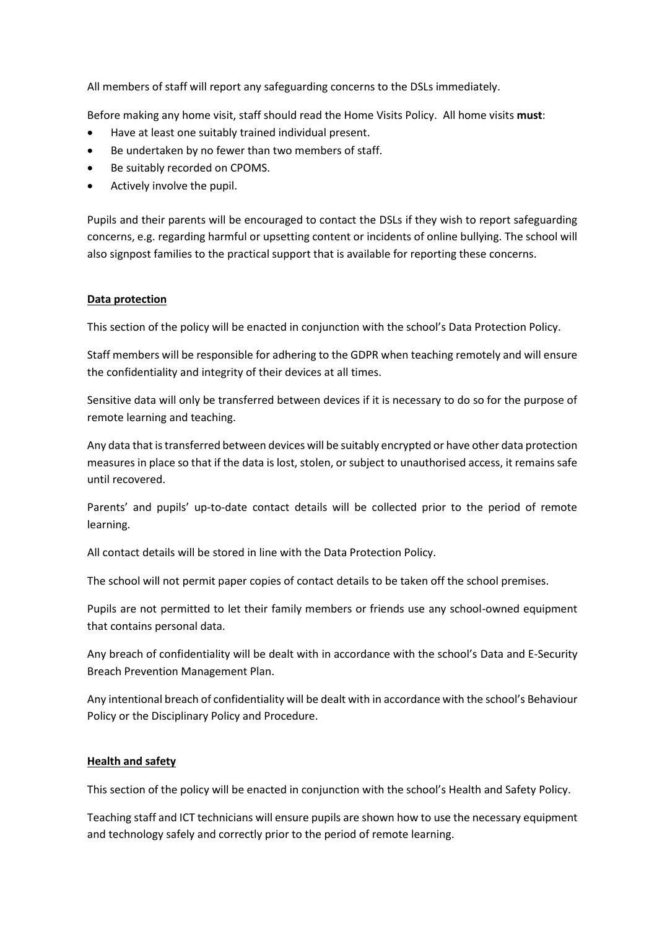All members of staff will report any safeguarding concerns to the DSLs immediately.

Before making any home visit, staff should read the Home Visits Policy. All home visits **must**:

- Have at least one suitably trained individual present.
- Be undertaken by no fewer than two members of staff.
- Be suitably recorded on CPOMS.
- Actively involve the pupil.

Pupils and their parents will be encouraged to contact the DSLs if they wish to report safeguarding concerns, e.g. regarding harmful or upsetting content or incidents of online bullying. The school will also signpost families to the practical support that is available for reporting these concerns.

## **Data protection**

This section of the policy will be enacted in conjunction with the school's Data Protection Policy.

Staff members will be responsible for adhering to the GDPR when teaching remotely and will ensure the confidentiality and integrity of their devices at all times.

Sensitive data will only be transferred between devices if it is necessary to do so for the purpose of remote learning and teaching.

Any data that is transferred between devices will be suitably encrypted or have other data protection measures in place so that if the data is lost, stolen, or subject to unauthorised access, it remains safe until recovered.

Parents' and pupils' up-to-date contact details will be collected prior to the period of remote learning.

All contact details will be stored in line with the Data Protection Policy.

The school will not permit paper copies of contact details to be taken off the school premises.

Pupils are not permitted to let their family members or friends use any school-owned equipment that contains personal data.

Any breach of confidentiality will be dealt with in accordance with the school's Data and E-Security Breach Prevention Management Plan.

Any intentional breach of confidentiality will be dealt with in accordance with the school's Behaviour Policy or the Disciplinary Policy and Procedure.

### **Health and safety**

This section of the policy will be enacted in conjunction with the school's Health and Safety Policy.

Teaching staff and ICT technicians will ensure pupils are shown how to use the necessary equipment and technology safely and correctly prior to the period of remote learning.